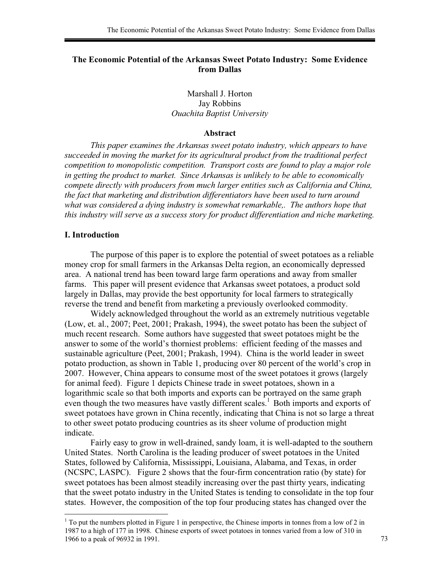## **The Economic Potential of the Arkansas Sweet Potato Industry: Some Evidence from Dallas**

Marshall J. Horton Jay Robbins *Ouachita Baptist University* 

#### **Abstract**

*This paper examines the Arkansas sweet potato industry, which appears to have succeeded in moving the market for its agricultural product from the traditional perfect competition to monopolistic competition. Transport costs are found to play a major role in getting the product to market. Since Arkansas is unlikely to be able to economically compete directly with producers from much larger entities such as California and China, the fact that marketing and distribution differentiators have been used to turn around*  what was considered a dying industry is somewhat remarkable,. The authors hope that *this industry will serve as a success story for product differentiation and niche marketing.* 

### **I. Introduction**

 The purpose of this paper is to explore the potential of sweet potatoes as a reliable money crop for small farmers in the Arkansas Delta region, an economically depressed area. A national trend has been toward large farm operations and away from smaller farms. This paper will present evidence that Arkansas sweet potatoes, a product sold largely in Dallas, may provide the best opportunity for local farmers to strategically reverse the trend and benefit from marketing a previously overlooked commodity.

Widely acknowledged throughout the world as an extremely nutritious vegetable (Low, et. al., 2007; Peet, 2001; Prakash, 1994), the sweet potato has been the subject of much recent research. Some authors have suggested that sweet potatoes might be the answer to some of the world's thorniest problems: efficient feeding of the masses and sustainable agriculture (Peet, 2001; Prakash, 1994). China is the world leader in sweet potato production, as shown in Table 1, producing over 80 percent of the world's crop in 2007. However, China appears to consume most of the sweet potatoes it grows (largely for animal feed). Figure 1 depicts Chinese trade in sweet potatoes, shown in a logarithmic scale so that both imports and exports can be portrayed on the same graph even though the two measures have vastly different scales.<sup>1</sup> Both imports and exports of sweet potatoes have grown in China recently, indicating that China is not so large a threat to other sweet potato producing countries as its sheer volume of production might indicate.

Fairly easy to grow in well-drained, sandy loam, it is well-adapted to the southern United States. North Carolina is the leading producer of sweet potatoes in the United States, followed by California, Mississippi, Louisiana, Alabama, and Texas, in order (NCSPC, LASPC). Figure 2 shows that the four-firm concentration ratio (by state) for sweet potatoes has been almost steadily increasing over the past thirty years, indicating that the sweet potato industry in the United States is tending to consolidate in the top four states. However, the composition of the top four producing states has changed over the

 $1$  To put the numbers plotted in Figure 1 in perspective, the Chinese imports in tonnes from a low of 2 in 1987 to a high of 177 in 1998. Chinese exports of sweet potatoes in tonnes varied from a low of 310 in 1966 to a peak of 96932 in 1991. 73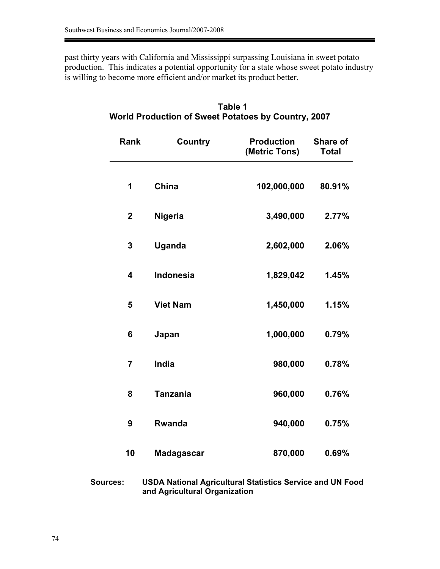past thirty years with California and Mississippi surpassing Louisiana in sweet potato production. This indicates a potential opportunity for a state whose sweet potato industry is willing to become more efficient and/or market its product better.

| Rank                    | <b>Country</b>    | <b>Production</b><br>(Metric Tons) | Share of<br><b>Total</b> |
|-------------------------|-------------------|------------------------------------|--------------------------|
| 1                       | China             | 102,000,000                        | 80.91%                   |
| $\boldsymbol{2}$        | <b>Nigeria</b>    | 3,490,000                          | 2.77%                    |
| 3                       | <b>Uganda</b>     | 2,602,000                          | 2.06%                    |
| $\overline{\mathbf{4}}$ | <b>Indonesia</b>  | 1,829,042                          | 1.45%                    |
| 5                       | <b>Viet Nam</b>   | 1,450,000                          | 1.15%                    |
| 6                       | Japan             | 1,000,000                          | 0.79%                    |
| $\overline{7}$          | <b>India</b>      | 980,000                            | 0.78%                    |
| 8                       | <b>Tanzania</b>   | 960,000                            | 0.76%                    |
| 9                       | <b>Rwanda</b>     | 940,000                            | 0.75%                    |
| 10                      | <b>Madagascar</b> | 870,000                            | 0.69%                    |

# **Table 1 World Production of Sweet Potatoes by Country, 2007**

| <b>Sources:</b> | <b>USDA National Agricultural Statistics Service and UN Food</b> |
|-----------------|------------------------------------------------------------------|
|                 | and Agricultural Organization                                    |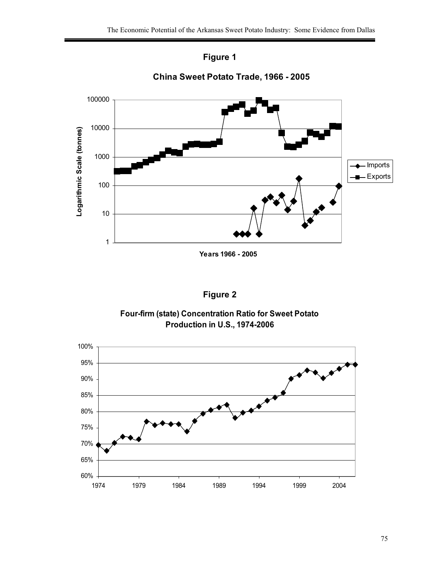



**China Sweet Potato Trade, 1966 - 2005**

# **Figure 2**

## **Four-firm (state) Concentration Ratio for Sweet Potato Production in U.S., 1974-2006**

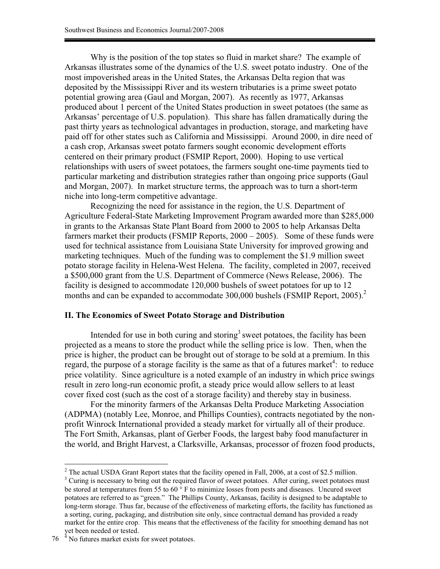Why is the position of the top states so fluid in market share? The example of Arkansas illustrates some of the dynamics of the U.S. sweet potato industry. One of the most impoverished areas in the United States, the Arkansas Delta region that was deposited by the Mississippi River and its western tributaries is a prime sweet potato potential growing area (Gaul and Morgan, 2007). As recently as 1977, Arkansas produced about 1 percent of the United States production in sweet potatoes (the same as Arkansas' percentage of U.S. population). This share has fallen dramatically during the past thirty years as technological advantages in production, storage, and marketing have paid off for other states such as California and Mississippi. Around 2000, in dire need of a cash crop, Arkansas sweet potato farmers sought economic development efforts centered on their primary product (FSMIP Report, 2000). Hoping to use vertical relationships with users of sweet potatoes, the farmers sought one-time payments tied to particular marketing and distribution strategies rather than ongoing price supports (Gaul and Morgan, 2007). In market structure terms, the approach was to turn a short-term niche into long-term competitive advantage.

Recognizing the need for assistance in the region, the U.S. Department of Agriculture Federal-State Marketing Improvement Program awarded more than \$285,000 in grants to the Arkansas State Plant Board from 2000 to 2005 to help Arkansas Delta farmers market their products (FSMIP Reports, 2000 – 2005). Some of these funds were used for technical assistance from Louisiana State University for improved growing and marketing techniques. Much of the funding was to complement the \$1.9 million sweet potato storage facility in Helena-West Helena. The facility, completed in 2007, received a \$500,000 grant from the U.S. Department of Commerce (News Release, 2006). The facility is designed to accommodate 120,000 bushels of sweet potatoes for up to 12 months and can be expanded to accommodate 300,000 bushels (FSMIP Report, 2005).<sup>2</sup>

#### **II. The Economics of Sweet Potato Storage and Distribution**

Intended for use in both curing and storing<sup>3</sup> sweet potatoes, the facility has been projected as a means to store the product while the selling price is low. Then, when the price is higher, the product can be brought out of storage to be sold at a premium. In this regard, the purpose of a storage facility is the same as that of a futures market<sup>4</sup>: to reduce price volatility. Since agriculture is a noted example of an industry in which price swings result in zero long-run economic profit, a steady price would allow sellers to at least cover fixed cost (such as the cost of a storage facility) and thereby stay in business.

For the minority farmers of the Arkansas Delta Produce Marketing Association (ADPMA) (notably Lee, Monroe, and Phillips Counties), contracts negotiated by the nonprofit Winrock International provided a steady market for virtually all of their produce. The Fort Smith, Arkansas, plant of Gerber Foods, the largest baby food manufacturer in the world, and Bright Harvest, a Clarksville, Arkansas, processor of frozen food products,

<sup>&</sup>lt;sup>2</sup> The actual USDA Grant Report states that the facility opened in Fall, 2006, at a cost of \$2.5 million.

<sup>&</sup>lt;sup>3</sup> Curing is necessary to bring out the required flavor of sweet potatoes. After curing, sweet potatoes must be stored at temperatures from 55 to  $60^\circ$  F to minimize losses from pests and diseases. Uncured sweet potatoes are referred to as "green." The Phillips County, Arkansas, facility is designed to be adaptable to long-term storage. Thus far, because of the effectiveness of marketing efforts, the facility has functioned as a sorting, curing, packaging, and distribution site only, since contractual demand has provided a ready market for the entire crop. This means that the effectiveness of the facility for smoothing demand has not yet been needed or tested.

 $76<sup>4</sup>$  No futures market exists for sweet potatoes.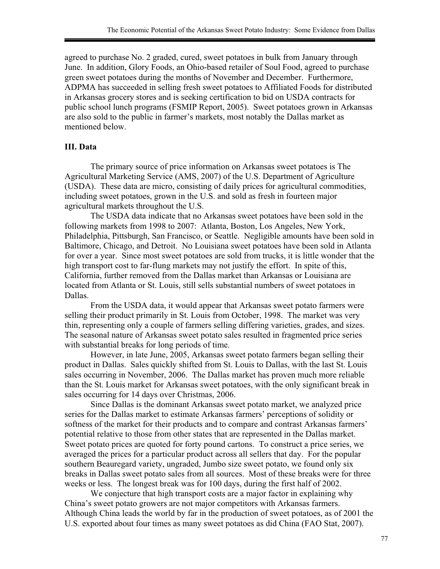agreed to purchase No. 2 graded, cured, sweet potatoes in bulk from January through June. In addition, Glory Foods, an Ohio-based retailer of Soul Food, agreed to purchase green sweet potatoes during the months of November and December. Furthermore, ADPMA has succeeded in selling fresh sweet potatoes to Affiliated Foods for distributed in Arkansas grocery stores and is seeking certification to bid on USDA contracts for public school lunch programs (FSMIP Report, 2005). Sweet potatoes grown in Arkansas are also sold to the public in farmer's markets, most notably the Dallas market as mentioned below.

### **III. Data**

The primary source of price information on Arkansas sweet potatoes is The Agricultural Marketing Service (AMS, 2007) of the U.S. Department of Agriculture (USDA). These data are micro, consisting of daily prices for agricultural commodities, including sweet potatoes, grown in the U.S. and sold as fresh in fourteen major agricultural markets throughout the U.S.

The USDA data indicate that no Arkansas sweet potatoes have been sold in the following markets from 1998 to 2007: Atlanta, Boston, Los Angeles, New York, Philadelphia, Pittsburgh, San Francisco, or Seattle. Negligible amounts have been sold in Baltimore, Chicago, and Detroit. No Louisiana sweet potatoes have been sold in Atlanta for over a year. Since most sweet potatoes are sold from trucks, it is little wonder that the high transport cost to far-flung markets may not justify the effort. In spite of this, California, further removed from the Dallas market than Arkansas or Louisiana are located from Atlanta or St. Louis, still sells substantial numbers of sweet potatoes in Dallas.

From the USDA data, it would appear that Arkansas sweet potato farmers were selling their product primarily in St. Louis from October, 1998. The market was very thin, representing only a couple of farmers selling differing varieties, grades, and sizes. The seasonal nature of Arkansas sweet potato sales resulted in fragmented price series with substantial breaks for long periods of time.

However, in late June, 2005, Arkansas sweet potato farmers began selling their product in Dallas. Sales quickly shifted from St. Louis to Dallas, with the last St. Louis sales occurring in November, 2006. The Dallas market has proven much more reliable than the St. Louis market for Arkansas sweet potatoes, with the only significant break in sales occurring for 14 days over Christmas, 2006.

Since Dallas is the dominant Arkansas sweet potato market, we analyzed price series for the Dallas market to estimate Arkansas farmers' perceptions of solidity or softness of the market for their products and to compare and contrast Arkansas farmers' potential relative to those from other states that are represented in the Dallas market. Sweet potato prices are quoted for forty pound cartons. To construct a price series, we averaged the prices for a particular product across all sellers that day. For the popular southern Beauregard variety, ungraded, Jumbo size sweet potato, we found only six breaks in Dallas sweet potato sales from all sources. Most of these breaks were for three weeks or less. The longest break was for 100 days, during the first half of 2002.

We conjecture that high transport costs are a major factor in explaining why China's sweet potato growers are not major competitors with Arkansas farmers. Although China leads the world by far in the production of sweet potatoes, as of 2001 the U.S. exported about four times as many sweet potatoes as did China (FAO Stat, 2007).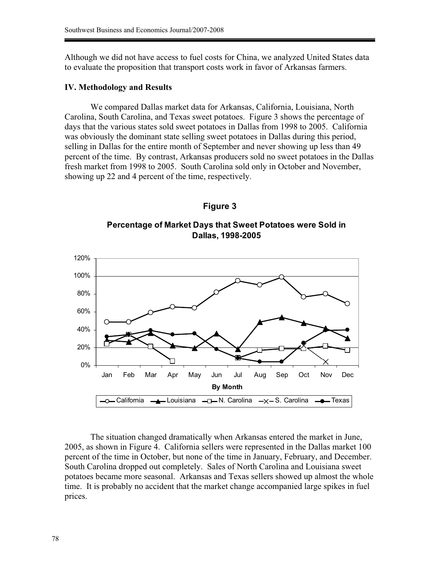Although we did not have access to fuel costs for China, we analyzed United States data to evaluate the proposition that transport costs work in favor of Arkansas farmers.

#### **IV. Methodology and Results**

We compared Dallas market data for Arkansas, California, Louisiana, North Carolina, South Carolina, and Texas sweet potatoes. Figure 3 shows the percentage of days that the various states sold sweet potatoes in Dallas from 1998 to 2005. California was obviously the dominant state selling sweet potatoes in Dallas during this period, selling in Dallas for the entire month of September and never showing up less than 49 percent of the time. By contrast, Arkansas producers sold no sweet potatoes in the Dallas fresh market from 1998 to 2005. South Carolina sold only in October and November, showing up 22 and 4 percent of the time, respectively.

### **Figure 3**

**Percentage of Market Days that Sweet Potatoes were Sold in Dallas, 1998-2005**



The situation changed dramatically when Arkansas entered the market in June, 2005, as shown in Figure 4. California sellers were represented in the Dallas market 100 percent of the time in October, but none of the time in January, February, and December. South Carolina dropped out completely. Sales of North Carolina and Louisiana sweet potatoes became more seasonal. Arkansas and Texas sellers showed up almost the whole time. It is probably no accident that the market change accompanied large spikes in fuel prices.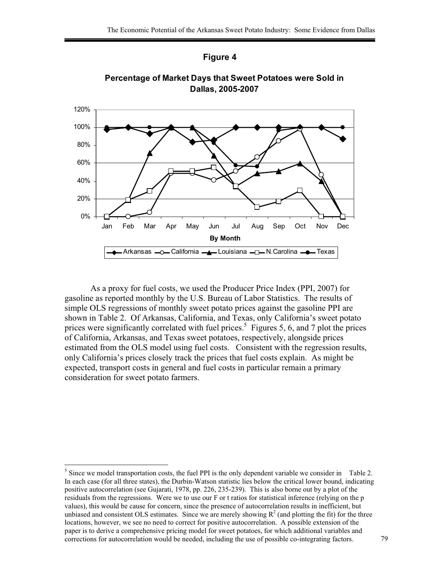





As a proxy for fuel costs, we used the Producer Price Index (PPI, 2007) for gasoline as reported monthly by the U.S. Bureau of Labor Statistics. The results of simple OLS regressions of monthly sweet potato prices against the gasoline PPI are shown in Table 2. Of Arkansas, California, and Texas, only California's sweet potato prices were significantly correlated with fuel prices.<sup>5</sup> Figures 5, 6, and 7 plot the prices of California, Arkansas, and Texas sweet potatoes, respectively, alongside prices estimated from the OLS model using fuel costs. Consistent with the regression results, only California's prices closely track the prices that fuel costs explain. As might be expected, transport costs in general and fuel costs in particular remain a primary consideration for sweet potato farmers.

 $<sup>5</sup>$  Since we model transportation costs, the fuel PPI is the only dependent variable we consider in Table 2.</sup> In each case (for all three states), the Durbin-Watson statistic lies below the critical lower bound, indicating positive autocorrelation (see Gujarati, 1978, pp. 226, 235-239). This is also borne out by a plot of the residuals from the regressions. Were we to use our F or t ratios for statistical inference (relying on the p values), this would be cause for concern, since the presence of autocorrelation results in inefficient, but unbiased and consistent OLS estimates. Since we are merely showing  $R^2$  (and plotting the fit) for the three locations, however, we see no need to correct for positive autocorrelation. A possible extension of the paper is to derive a comprehensive pricing model for sweet potatoes, for which additional variables and corrections for autocorrelation would be needed, including the use of possible co-integrating factors. 79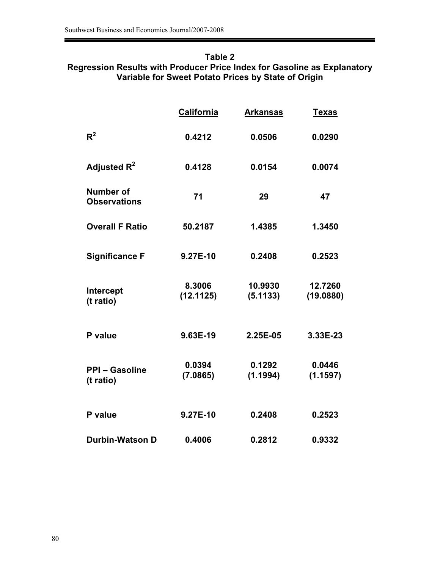## **Table 2 Regression Results with Producer Price Index for Gasoline as Explanatory Variable for Sweet Potato Prices by State of Origin**

|                                    | California          | <b>Arkansas</b>     | <b>Texas</b>         |
|------------------------------------|---------------------|---------------------|----------------------|
| $R^2$                              | 0.4212              | 0.0506              | 0.0290               |
| Adjusted $R^2$                     | 0.4128              | 0.0154              | 0.0074               |
| Number of<br><b>Observations</b>   | 71                  | 29                  | 47                   |
| <b>Overall F Ratio</b>             | 50.2187             | 1.4385              | 1.3450               |
| <b>Significance F</b>              | 9.27E-10            | 0.2408              | 0.2523               |
| Intercept<br>(t ratio)             | 8.3006<br>(12.1125) | 10.9930<br>(5.1133) | 12.7260<br>(19.0880) |
| P value                            | 9.63E-19            | 2.25E-05            | 3.33E-23             |
| <b>PPI - Gasoline</b><br>(t ratio) | 0.0394<br>(7.0865)  | 0.1292<br>(1.1994)  | 0.0446<br>(1.1597)   |
| P value                            | 9.27E-10            | 0.2408              | 0.2523               |
| <b>Durbin-Watson D</b>             | 0.4006              | 0.2812              | 0.9332               |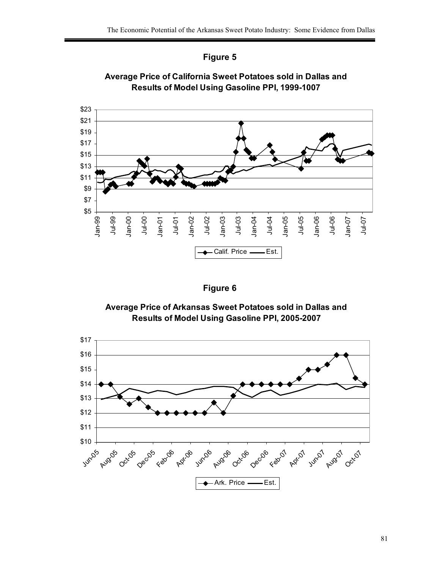



**Average Price of California Sweet Potatoes sold in Dallas and Results of Model Using Gasoline PPI, 1999-1007**

| laure |  |
|-------|--|
|-------|--|

**Average Price of Arkansas Sweet Potatoes sold in Dallas and Results of Model Using Gasoline PPI, 2005-2007**

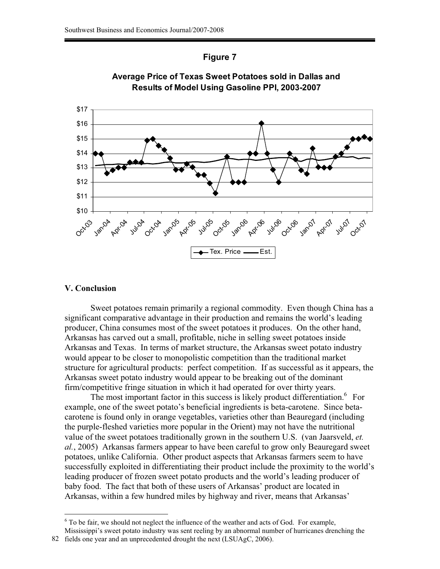





#### **V. Conclusion**

Sweet potatoes remain primarily a regional commodity. Even though China has a significant comparative advantage in their production and remains the world's leading producer, China consumes most of the sweet potatoes it produces. On the other hand, Arkansas has carved out a small, profitable, niche in selling sweet potatoes inside Arkansas and Texas. In terms of market structure, the Arkansas sweet potato industry would appear to be closer to monopolistic competition than the traditional market structure for agricultural products: perfect competition. If as successful as it appears, the Arkansas sweet potato industry would appear to be breaking out of the dominant firm/competitive fringe situation in which it had operated for over thirty years.

The most important factor in this success is likely product differentiation.<sup>6</sup> For example, one of the sweet potato's beneficial ingredients is beta-carotene. Since betacarotene is found only in orange vegetables, varieties other than Beauregard (including the purple-fleshed varieties more popular in the Orient) may not have the nutritional value of the sweet potatoes traditionally grown in the southern U.S. (van Jaarsveld, *et. al.*, 2005) Arkansas farmers appear to have been careful to grow only Beauregard sweet potatoes, unlike California. Other product aspects that Arkansas farmers seem to have successfully exploited in differentiating their product include the proximity to the world's leading producer of frozen sweet potato products and the world's leading producer of baby food. The fact that both of these users of Arkansas' product are located in Arkansas, within a few hundred miles by highway and river, means that Arkansas'

 $6$  To be fair, we should not neglect the influence of the weather and acts of God. For example, Mississippi's sweet potato industry was sent reeling by an abnormal number of hurricanes drenching the 82 fields one year and an unprecedented drought the next (LSUAgC, 2006).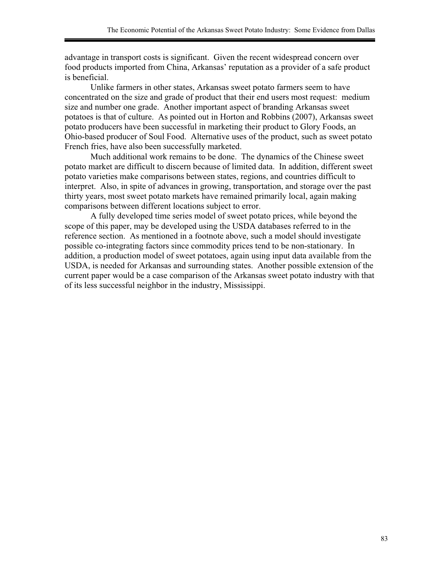advantage in transport costs is significant. Given the recent widespread concern over food products imported from China, Arkansas' reputation as a provider of a safe product is beneficial.

Unlike farmers in other states, Arkansas sweet potato farmers seem to have concentrated on the size and grade of product that their end users most request: medium size and number one grade. Another important aspect of branding Arkansas sweet potatoes is that of culture. As pointed out in Horton and Robbins (2007), Arkansas sweet potato producers have been successful in marketing their product to Glory Foods, an Ohio-based producer of Soul Food. Alternative uses of the product, such as sweet potato French fries, have also been successfully marketed.

Much additional work remains to be done. The dynamics of the Chinese sweet potato market are difficult to discern because of limited data. In addition, different sweet potato varieties make comparisons between states, regions, and countries difficult to interpret. Also, in spite of advances in growing, transportation, and storage over the past thirty years, most sweet potato markets have remained primarily local, again making comparisons between different locations subject to error.

A fully developed time series model of sweet potato prices, while beyond the scope of this paper, may be developed using the USDA databases referred to in the reference section. As mentioned in a footnote above, such a model should investigate possible co-integrating factors since commodity prices tend to be non-stationary. In addition, a production model of sweet potatoes, again using input data available from the USDA, is needed for Arkansas and surrounding states. Another possible extension of the current paper would be a case comparison of the Arkansas sweet potato industry with that of its less successful neighbor in the industry, Mississippi.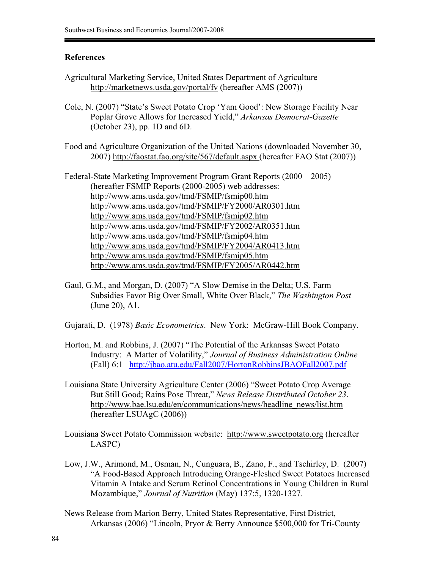#### **References**

- Agricultural Marketing Service, United States Department of Agriculture http://marketnews.usda.gov/portal/fv (hereafter AMS (2007))
- Cole, N. (2007) "State's Sweet Potato Crop 'Yam Good': New Storage Facility Near Poplar Grove Allows for Increased Yield," *Arkansas Democrat-Gazette* (October 23), pp. 1D and 6D.
- Food and Agriculture Organization of the United Nations (downloaded November 30, 2007) http://faostat.fao.org/site/567/default.aspx (hereafter FAO Stat (2007))

Federal-State Marketing Improvement Program Grant Reports (2000 – 2005) (hereafter FSMIP Reports (2000-2005) web addresses: http://www.ams.usda.gov/tmd/FSMIP/fsmip00.htm http://www.ams.usda.gov/tmd/FSMIP/FY2000/AR0301.htm http://www.ams.usda.gov/tmd/FSMIP/fsmip02.htm http://www.ams.usda.gov/tmd/FSMIP/FY2002/AR0351.htm http://www.ams.usda.gov/tmd/FSMIP/fsmip04.htm http://www.ams.usda.gov/tmd/FSMIP/FY2004/AR0413.htm http://www.ams.usda.gov/tmd/FSMIP/fsmip05.htm http://www.ams.usda.gov/tmd/FSMIP/FY2005/AR0442.htm

- Gaul, G.M., and Morgan, D. (2007) "A Slow Demise in the Delta; U.S. Farm Subsidies Favor Big Over Small, White Over Black," *The Washington Post* (June 20), A1.
- Gujarati, D. (1978) *Basic Econometrics*. New York: McGraw-Hill Book Company.
- Horton, M. and Robbins, J. (2007) "The Potential of the Arkansas Sweet Potato Industry: A Matter of Volatility," *Journal of Business Administration Online* (Fall) 6:1 http://jbao.atu.edu/Fall2007/HortonRobbinsJBAOFall2007.pdf
- Louisiana State University Agriculture Center (2006) "Sweet Potato Crop Average But Still Good; Rains Pose Threat," *News Release Distributed October 23*. http://www.bae.lsu.edu/en/communications/news/headline\_news/list.htm (hereafter LSUAgC (2006))
- Louisiana Sweet Potato Commission website: http://www.sweetpotato.org (hereafter LASPC)
- Low, J.W., Arimond, M., Osman, N., Cunguara, B., Zano, F., and Tschirley, D. (2007) "A Food-Based Approach Introducing Orange-Fleshed Sweet Potatoes Increased Vitamin A Intake and Serum Retinol Concentrations in Young Children in Rural Mozambique," *Journal of Nutrition* (May) 137:5, 1320-1327.
- News Release from Marion Berry, United States Representative, First District, Arkansas (2006) "Lincoln, Pryor & Berry Announce \$500,000 for Tri-County